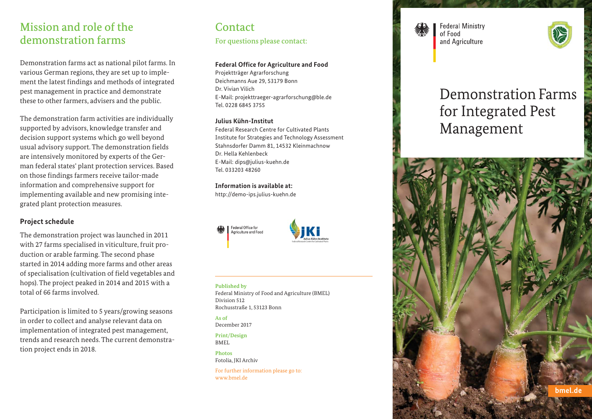## Mission and role of the demonstration farms

Demonstration farms act as national pilot farms. In various German regions, they are set up to implement the latest findings and methods of integrated pest management in practice and demonstrate these to other farmers, advisers and the public.

The demonstration farm activities are individually supported by advisors, knowledge transfer and decision support systems which go well beyond usual advisory support. The demonstration fields are intensively monitored by experts of the German federal states' plant protection services. Based on those findings farmers receive tailor-made information and comprehensive support for implementing available and new promising integrated plant protection measures.

## **Project schedule**

The demonstration project was launched in 2011 with 27 farms specialised in viticulture, fruit production or arable farming. The second phase started in 2014 adding more farms and other areas of specialisation (cultivation of field vegetables and hops). The project peaked in 2014 and 2015 with a total of 66 farms involved.

Participation is limited to 5 years/growing seasons in order to collect and analyse relevant data on implementation of integrated pest management, trends and research needs. The current demonstration project ends in 2018.

# **Contact**

For questions please contact:

## **Federal Office for Agriculture and Food**

Projektträger Agrarforschung Deichmanns Aue 29, 53179 Bonn Dr. Vivian Vilich E-Mail: projekttraeger-agrarforschung@ble.de Tel. 0228 6845 3755

### **Julius Kühn-Institut**

Federal Research Centre for Cultivated Plants Institute for Strategies and Technology Assessment Stahnsdorfer Damm 81, 14532 Kleinmachnow Dr. Hella Kehlenbeck E-Mail: dips@julius-kuehn.de Tel. 033203 48260

**Information is available at:**

http://demo-ips.julius-kuehn.de





#### **Published by**

Federal Ministry of Food and Agriculture (BMEL) Division 512 Rochusstraße 1, 53123 Bonn

**As of** December 2017

**Print/Design BMEL** 

**Photos** Fotolia, JKI Archiv

For further information please go to: www.bmel.de

**Federal Ministry** of Food and Agriculture



# Demonstration Farms for Integrated Pest Management